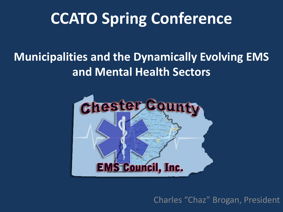### **CCATO Spring Conference**

#### **Municipalities and the Dynamically Evolving EMS and Mental Health Sectors**



Charles "Chaz" Brogan, President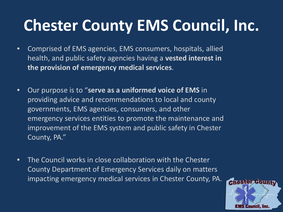# **Chester County EMS Council, Inc.**

- Comprised of EMS agencies, EMS consumers, hospitals, allied health, and public safety agencies having a **vested interest in the provision of emergency medical services**.
- Our purpose is to "**serve as a uniformed voice of EMS** in providing advice and recommendations to local and county governments, EMS agencies, consumers, and other emergency services entities to promote the maintenance and improvement of the EMS system and public safety in Chester County, PA."
- The Council works in close collaboration with the Chester County Department of Emergency Services daily on matters impacting emergency medical services in Chester County, PA.

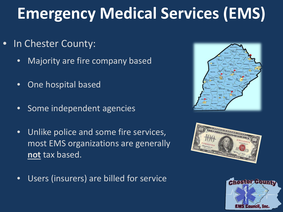# **Emergency Medical Services (EMS)**

- In Chester County:
	- Majority are fire company based
	- **•** One hospital based
	- Some independent agencies
	- Unlike police and some fire services, most EMS organizations are generally **not** tax based.





• Users (insurers) are billed for service

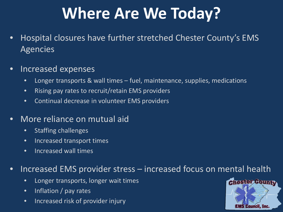## **Where Are We Today?**

- Hospital closures have further stretched Chester County's EMS Agencies
- Increased expenses
	- Longer transports & wall times fuel, maintenance, supplies, medications
	- Rising pay rates to recruit/retain EMS providers
	- Continual decrease in volunteer EMS providers
- More reliance on mutual aid
	- Staffing challenges
	- Increased transport times
	- Increased wall times

#### • Increased EMS provider stress – increased focus on mental health

- Longer transports, longer wait times
- Inflation / pay rates
- Increased risk of provider injury

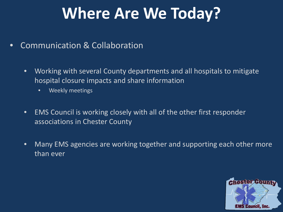#### **Where Are We Today?**

- Communication & Collaboration
	- Working with several County departments and all hospitals to mitigate hospital closure impacts and share information
		- Weekly meetings
	- EMS Council is working closely with all of the other first responder associations in Chester County
	- Many EMS agencies are working together and supporting each other more than ever

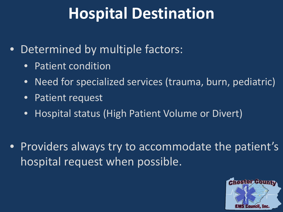### **Hospital Destination**

- Determined by multiple factors:
	- Patient condition
	- Need for specialized services (trauma, burn, pediatric)
	- Patient request
	- Hospital status (High Patient Volume or Divert)
- Providers always try to accommodate the patient's hospital request when possible.

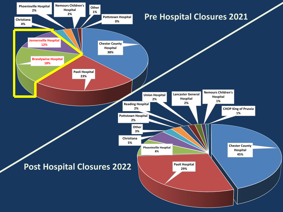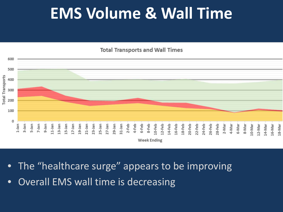#### **EMS Volume & Wall Time**

**Total Transports and Wall Times** 



- The "healthcare surge" appears to be improving
- Overall EMS wall time is decreasing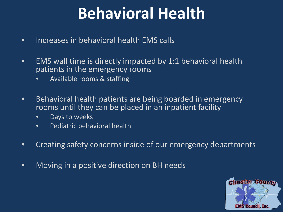### **Behavioral Health**

- Increases in behavioral health EMS calls
- EMS wall time is directly impacted by 1:1 behavioral health patients in the emergency rooms
	- Available rooms & staffing
- Behavioral health patients are being boarded in emergency rooms until they can be placed in an inpatient facility
	- Days to weeks
	- Pediatric behavioral health
- Creating safety concerns inside of our emergency departments
- Moving in a positive direction on BH needs

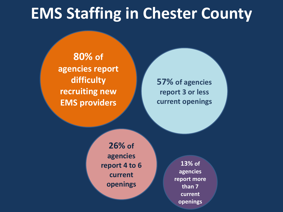#### **EMS Staffing in Chester County**

**80% of agencies report difficulty recruiting new EMS providers**

**57% of agencies report 3 or less current openings**

**26% of agencies report 4 to 6 current openings**

**13% of agencies report more than 7 current openings**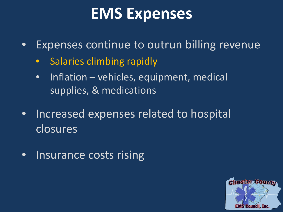#### **EMS Expenses**

- Expenses continue to outrun billing revenue
	- Salaries climbing rapidly
	- Inflation vehicles, equipment, medical supplies, & medications
- Increased expenses related to hospital closures
- Insurance costs rising

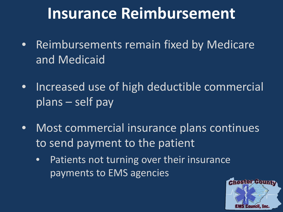#### **Insurance Reimbursement**

- Reimbursements remain fixed by Medicare and Medicaid
- Increased use of high deductible commercial plans – self pay
- Most commercial insurance plans continues to send payment to the patient
	- Patients not turning over their insurance payments to EMS agencies

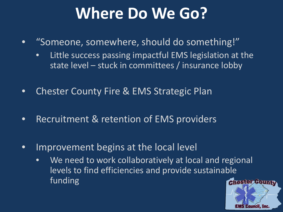#### **Where Do We Go?**

- "Someone, somewhere, should do something!"
	- Little success passing impactful EMS legislation at the state level – stuck in committees / insurance lobby
- Chester County Fire & EMS Strategic Plan
- Recruitment & retention of EMS providers
- Improvement begins at the local level
	- We need to work collaboratively at local and regional levels to find efficiencies and provide sustainable funding